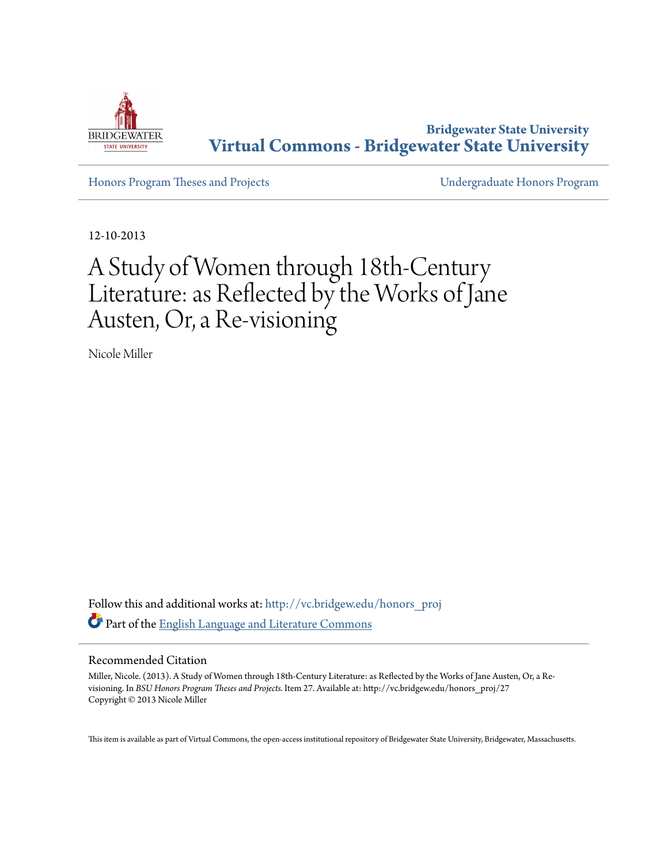

**Bridgewater State University [Virtual Commons - Bridgewater State University](http://vc.bridgew.edu?utm_source=vc.bridgew.edu%2Fhonors_proj%2F27&utm_medium=PDF&utm_campaign=PDFCoverPages)**

[Honors Program Theses and Projects](http://vc.bridgew.edu/honors_proj?utm_source=vc.bridgew.edu%2Fhonors_proj%2F27&utm_medium=PDF&utm_campaign=PDFCoverPages) [Undergraduate Honors Program](http://vc.bridgew.edu/honors?utm_source=vc.bridgew.edu%2Fhonors_proj%2F27&utm_medium=PDF&utm_campaign=PDFCoverPages)

12-10-2013

## A Study of Women through 18th-Century Literature: as Reflected by the Works of Jane Austen, Or, a Re-visioning

Nicole Miller

Follow this and additional works at: [http://vc.bridgew.edu/honors\\_proj](http://vc.bridgew.edu/honors_proj?utm_source=vc.bridgew.edu%2Fhonors_proj%2F27&utm_medium=PDF&utm_campaign=PDFCoverPages) Part of the [English Language and Literature Commons](http://network.bepress.com/hgg/discipline/455?utm_source=vc.bridgew.edu%2Fhonors_proj%2F27&utm_medium=PDF&utm_campaign=PDFCoverPages)

## Recommended Citation

Miller, Nicole. (2013). A Study of Women through 18th-Century Literature: as Reflected by the Works of Jane Austen, Or, a Revisioning. In *BSU Honors Program Theses and Projects.* Item 27. Available at: http://vc.bridgew.edu/honors\_proj/27 Copyright © 2013 Nicole Miller

This item is available as part of Virtual Commons, the open-access institutional repository of Bridgewater State University, Bridgewater, Massachusetts.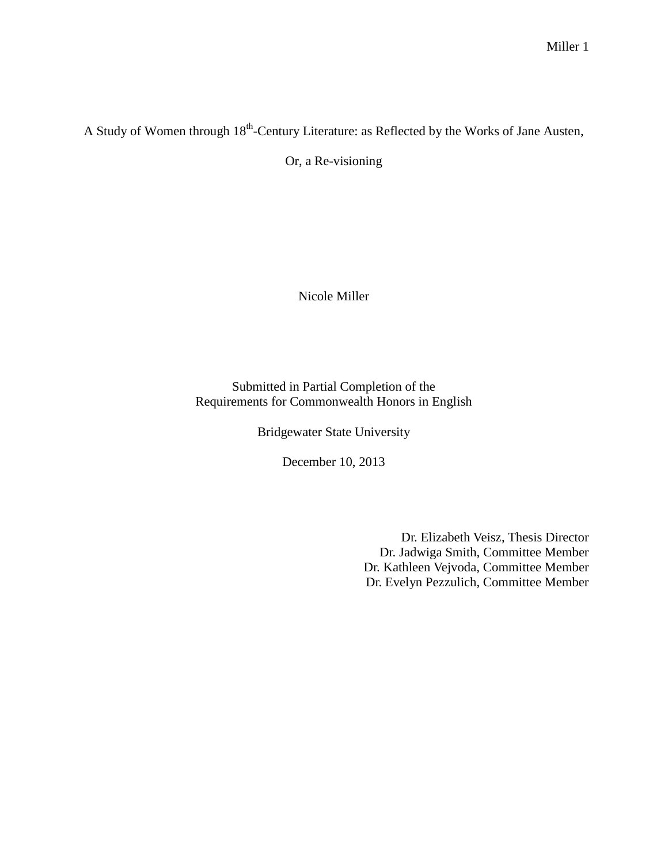A Study of Women through 18<sup>th</sup>-Century Literature: as Reflected by the Works of Jane Austen,

Or, a Re-visioning

Nicole Miller

Submitted in Partial Completion of the Requirements for Commonwealth Honors in English

Bridgewater State University

December 10, 2013

Dr. Elizabeth Veisz, Thesis Director Dr. Jadwiga Smith, Committee Member Dr. Kathleen Vejvoda, Committee Member Dr. Evelyn Pezzulich, Committee Member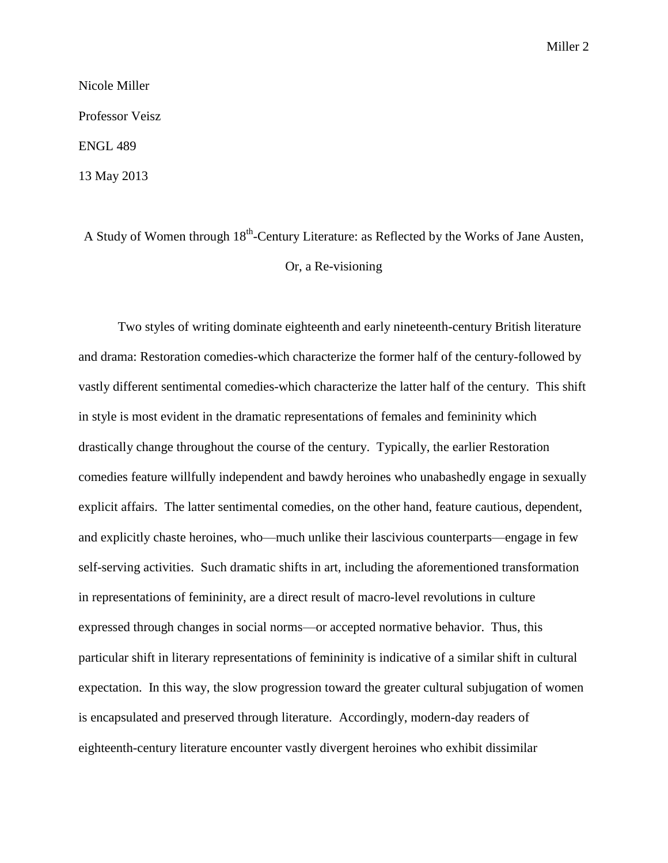Nicole Miller Professor Veisz ENGL 489

13 May 2013

A Study of Women through 18<sup>th</sup>-Century Literature: as Reflected by the Works of Jane Austen, Or, a Re-visioning

Two styles of writing dominate eighteenth and early nineteenth-century British literature and drama: Restoration comedies-which characterize the former half of the century-followed by vastly different sentimental comedies-which characterize the latter half of the century. This shift in style is most evident in the dramatic representations of females and femininity which drastically change throughout the course of the century. Typically, the earlier Restoration comedies feature willfully independent and bawdy heroines who unabashedly engage in sexually explicit affairs. The latter sentimental comedies, on the other hand, feature cautious, dependent, and explicitly chaste heroines, who—much unlike their lascivious counterparts—engage in few self-serving activities. Such dramatic shifts in art, including the aforementioned transformation in representations of femininity, are a direct result of macro-level revolutions in culture expressed through changes in social norms—or accepted normative behavior. Thus, this particular shift in literary representations of femininity is indicative of a similar shift in cultural expectation. In this way, the slow progression toward the greater cultural subjugation of women is encapsulated and preserved through literature. Accordingly, modern-day readers of eighteenth-century literature encounter vastly divergent heroines who exhibit dissimilar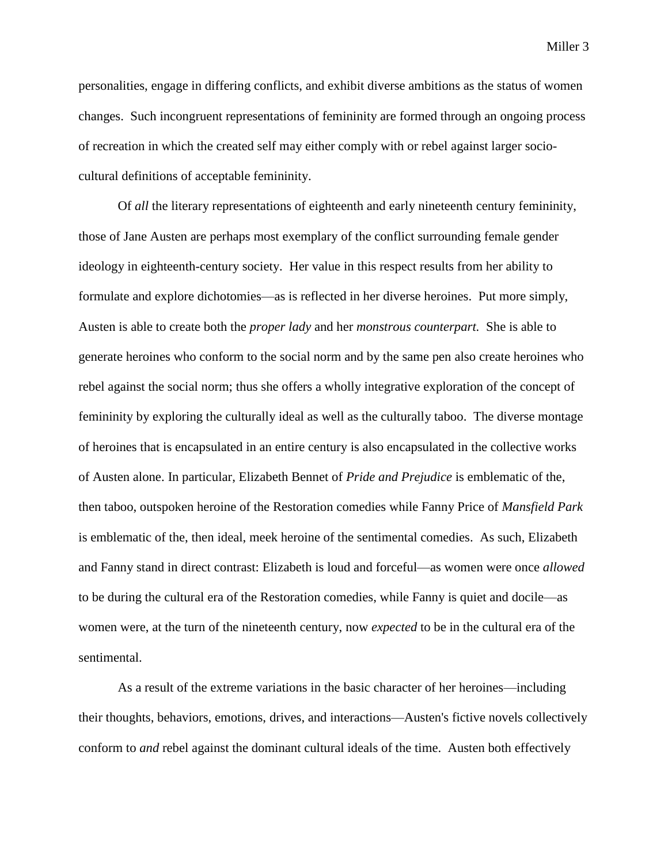personalities, engage in differing conflicts, and exhibit diverse ambitions as the status of women changes. Such incongruent representations of femininity are formed through an ongoing process of recreation in which the created self may either comply with or rebel against larger sociocultural definitions of acceptable femininity.

Of *all* the literary representations of eighteenth and early nineteenth century femininity, those of Jane Austen are perhaps most exemplary of the conflict surrounding female gender ideology in eighteenth-century society. Her value in this respect results from her ability to formulate and explore dichotomies—as is reflected in her diverse heroines. Put more simply, Austen is able to create both the *proper lady* and her *monstrous counterpart.* She is able to generate heroines who conform to the social norm and by the same pen also create heroines who rebel against the social norm; thus she offers a wholly integrative exploration of the concept of femininity by exploring the culturally ideal as well as the culturally taboo. The diverse montage of heroines that is encapsulated in an entire century is also encapsulated in the collective works of Austen alone. In particular, Elizabeth Bennet of *Pride and Prejudice* is emblematic of the, then taboo, outspoken heroine of the Restoration comedies while Fanny Price of *Mansfield Park*  is emblematic of the, then ideal, meek heroine of the sentimental comedies. As such, Elizabeth and Fanny stand in direct contrast: Elizabeth is loud and forceful—as women were once *allowed*  to be during the cultural era of the Restoration comedies, while Fanny is quiet and docile—as women were, at the turn of the nineteenth century, now *expected* to be in the cultural era of the sentimental.

As a result of the extreme variations in the basic character of her heroines—including their thoughts, behaviors, emotions, drives, and interactions—Austen's fictive novels collectively conform to *and* rebel against the dominant cultural ideals of the time. Austen both effectively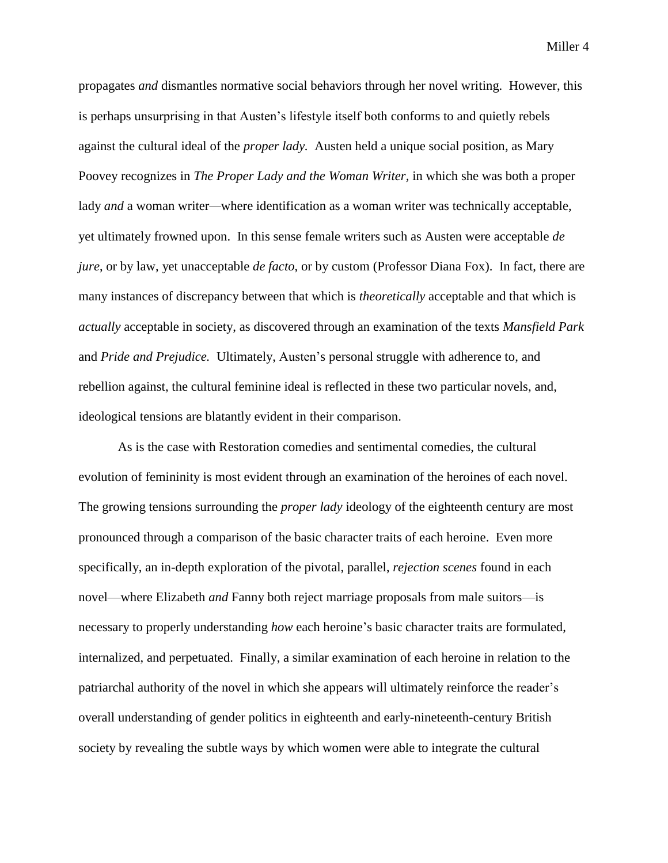propagates *and* dismantles normative social behaviors through her novel writing. However, this is perhaps unsurprising in that Austen's lifestyle itself both conforms to and quietly rebels against the cultural ideal of the *proper lady.* Austen held a unique social position, as Mary Poovey recognizes in *The Proper Lady and the Woman Writer,* in which she was both a proper lady *and* a woman writer—where identification as a woman writer was technically acceptable, yet ultimately frowned upon. In this sense female writers such as Austen were acceptable *de jure*, or by law, yet unacceptable *de facto*, or by custom (Professor Diana Fox). In fact, there are many instances of discrepancy between that which is *theoretically* acceptable and that which is *actually* acceptable in society, as discovered through an examination of the texts *Mansfield Park*  and *Pride and Prejudice.* Ultimately, Austen's personal struggle with adherence to, and rebellion against, the cultural feminine ideal is reflected in these two particular novels, and, ideological tensions are blatantly evident in their comparison.

As is the case with Restoration comedies and sentimental comedies, the cultural evolution of femininity is most evident through an examination of the heroines of each novel. The growing tensions surrounding the *proper lady* ideology of the eighteenth century are most pronounced through a comparison of the basic character traits of each heroine. Even more specifically, an in-depth exploration of the pivotal, parallel, *rejection scenes* found in each novel—where Elizabeth *and* Fanny both reject marriage proposals from male suitors—is necessary to properly understanding *how* each heroine's basic character traits are formulated, internalized, and perpetuated. Finally, a similar examination of each heroine in relation to the patriarchal authority of the novel in which she appears will ultimately reinforce the reader's overall understanding of gender politics in eighteenth and early-nineteenth-century British society by revealing the subtle ways by which women were able to integrate the cultural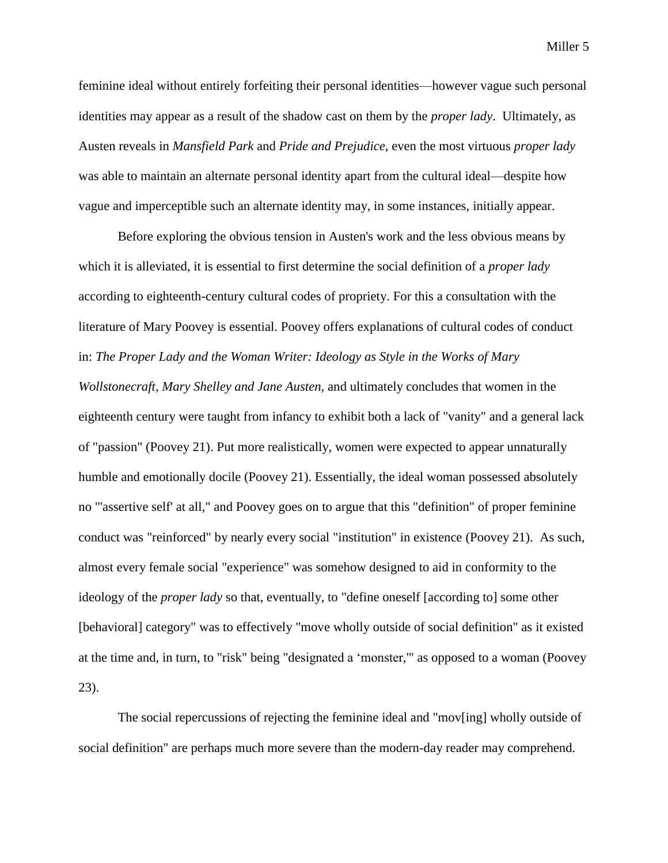feminine ideal without entirely forfeiting their personal identities—however vague such personal identities may appear as a result of the shadow cast on them by the *proper lady*. Ultimately, as Austen reveals in *Mansfield Park* and *Pride and Prejudice*, even the most virtuous *proper lady*  was able to maintain an alternate personal identity apart from the cultural ideal—despite how vague and imperceptible such an alternate identity may, in some instances, initially appear.

Before exploring the obvious tension in Austen's work and the less obvious means by which it is alleviated, it is essential to first determine the social definition of a *proper lady*  according to eighteenth-century cultural codes of propriety. For this a consultation with the literature of Mary Poovey is essential. Poovey offers explanations of cultural codes of conduct in: *The Proper Lady and the Woman Writer: Ideology as Style in the Works of Mary Wollstonecraft, Mary Shelley and Jane Austen,* and ultimately concludes that women in the eighteenth century were taught from infancy to exhibit both a lack of "vanity" and a general lack of "passion" (Poovey 21). Put more realistically, women were expected to appear unnaturally humble and emotionally docile (Poovey 21). Essentially, the ideal woman possessed absolutely no "'assertive self' at all," and Poovey goes on to argue that this "definition" of proper feminine conduct was "reinforced" by nearly every social "institution" in existence (Poovey 21). As such, almost every female social "experience" was somehow designed to aid in conformity to the ideology of the *proper lady* so that, eventually, to "define oneself [according to] some other [behavioral] category" was to effectively "move wholly outside of social definition" as it existed at the time and, in turn, to "risk" being "designated a 'monster,'" as opposed to a woman (Poovey 23).

The social repercussions of rejecting the feminine ideal and "mov[ing] wholly outside of social definition" are perhaps much more severe than the modern-day reader may comprehend.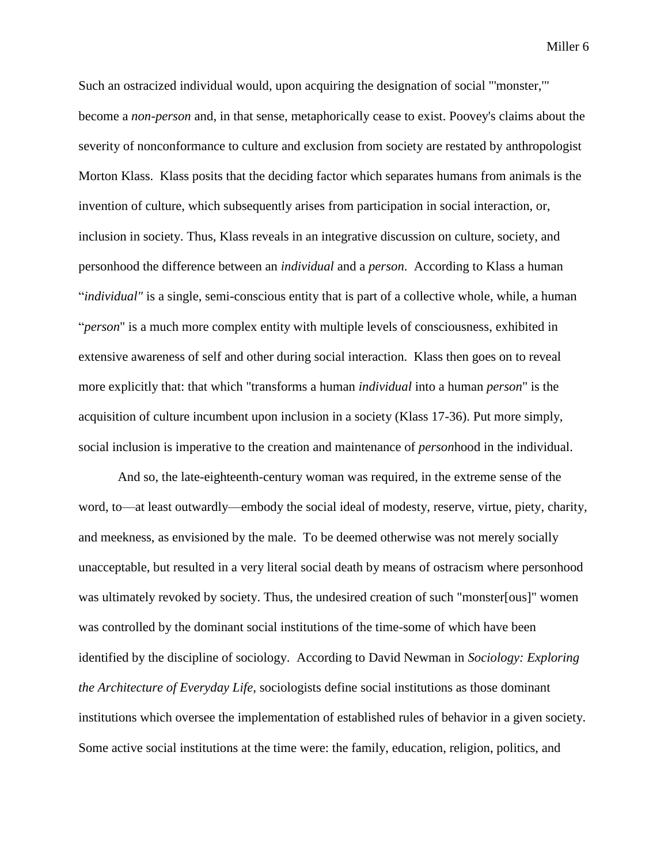Such an ostracized individual would, upon acquiring the designation of social "'monster,'" become a *non-person* and, in that sense, metaphorically cease to exist. Poovey's claims about the severity of nonconformance to culture and exclusion from society are restated by anthropologist Morton Klass. Klass posits that the deciding factor which separates humans from animals is the invention of culture, which subsequently arises from participation in social interaction, or, inclusion in society. Thus, Klass reveals in an integrative discussion on culture, society, and personhood the difference between an *individual* and a *person*. According to Klass a human "*individual"* is a single, semi-conscious entity that is part of a collective whole, while, a human "*person*" is a much more complex entity with multiple levels of consciousness, exhibited in extensive awareness of self and other during social interaction. Klass then goes on to reveal more explicitly that: that which "transforms a human *individual* into a human *person*" is the acquisition of culture incumbent upon inclusion in a society (Klass 17-36). Put more simply, social inclusion is imperative to the creation and maintenance of *person*hood in the individual.

And so, the late-eighteenth-century woman was required, in the extreme sense of the word, to—at least outwardly—embody the social ideal of modesty, reserve, virtue, piety, charity, and meekness, as envisioned by the male. To be deemed otherwise was not merely socially unacceptable, but resulted in a very literal social death by means of ostracism where personhood was ultimately revoked by society. Thus, the undesired creation of such "monster[ous]" women was controlled by the dominant social institutions of the time-some of which have been identified by the discipline of sociology. According to David Newman in *Sociology: Exploring the Architecture of Everyday Life,* sociologists define social institutions as those dominant institutions which oversee the implementation of established rules of behavior in a given society. Some active social institutions at the time were: the family, education, religion, politics, and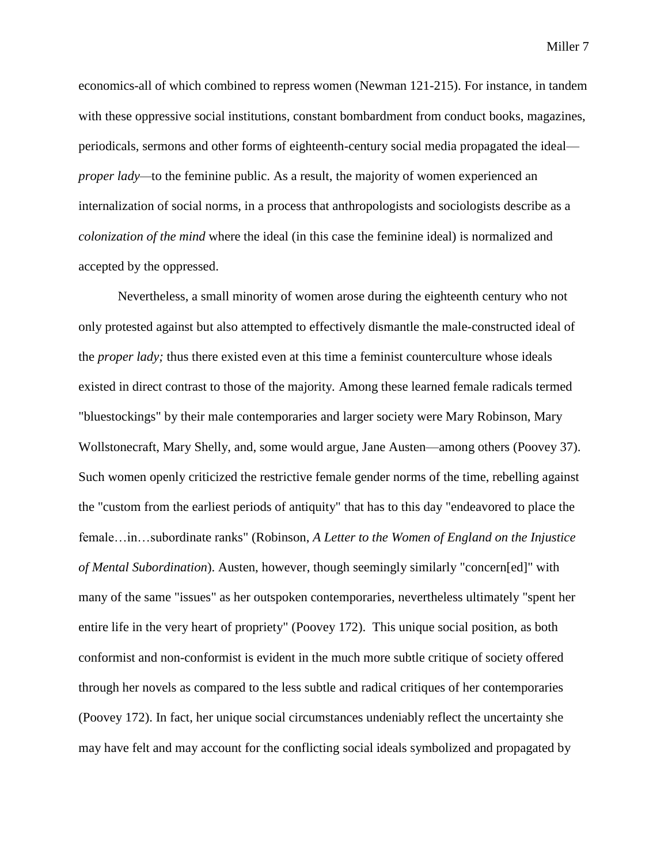economics-all of which combined to repress women (Newman 121-215). For instance, in tandem with these oppressive social institutions, constant bombardment from conduct books, magazines, periodicals, sermons and other forms of eighteenth-century social media propagated the ideal *proper lady—to the feminine public. As a result, the majority of women experienced an* internalization of social norms, in a process that anthropologists and sociologists describe as a *colonization of the mind* where the ideal (in this case the feminine ideal) is normalized and accepted by the oppressed.

Nevertheless, a small minority of women arose during the eighteenth century who not only protested against but also attempted to effectively dismantle the male-constructed ideal of the *proper lady;* thus there existed even at this time a feminist counterculture whose ideals existed in direct contrast to those of the majority*.* Among these learned female radicals termed "bluestockings" by their male contemporaries and larger society were Mary Robinson, Mary Wollstonecraft, Mary Shelly, and, some would argue, Jane Austen—among others (Poovey 37). Such women openly criticized the restrictive female gender norms of the time, rebelling against the "custom from the earliest periods of antiquity" that has to this day "endeavored to place the female…in…subordinate ranks" (Robinson, *A Letter to the Women of England on the Injustice of Mental Subordination*). Austen, however, though seemingly similarly "concern[ed]" with many of the same "issues" as her outspoken contemporaries, nevertheless ultimately "spent her entire life in the very heart of propriety" (Poovey 172). This unique social position, as both conformist and non-conformist is evident in the much more subtle critique of society offered through her novels as compared to the less subtle and radical critiques of her contemporaries (Poovey 172). In fact, her unique social circumstances undeniably reflect the uncertainty she may have felt and may account for the conflicting social ideals symbolized and propagated by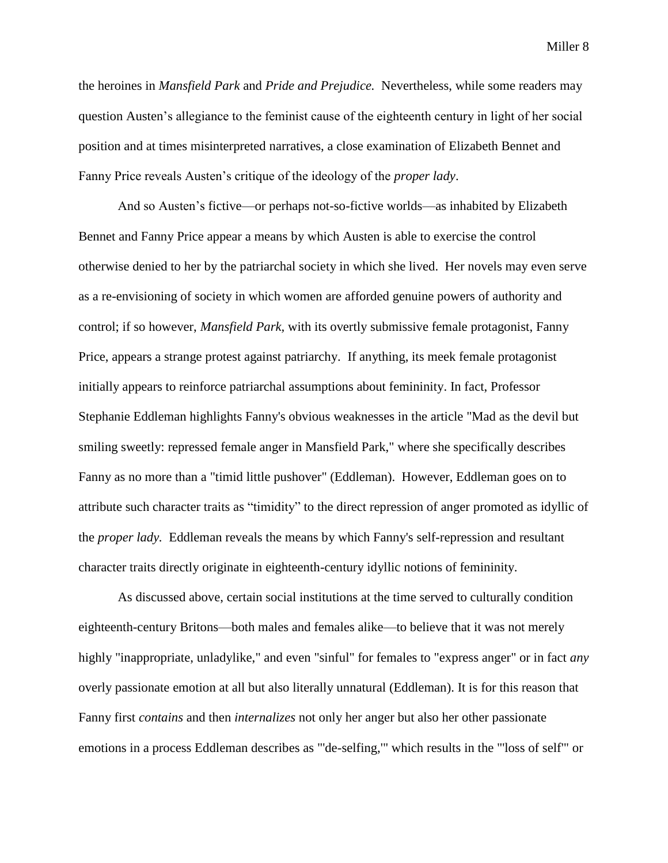the heroines in *Mansfield Park* and *Pride and Prejudice.* Nevertheless, while some readers may question Austen's allegiance to the feminist cause of the eighteenth century in light of her social position and at times misinterpreted narratives, a close examination of Elizabeth Bennet and Fanny Price reveals Austen's critique of the ideology of the *proper lady*.

And so Austen's fictive—or perhaps not-so-fictive worlds—as inhabited by Elizabeth Bennet and Fanny Price appear a means by which Austen is able to exercise the control otherwise denied to her by the patriarchal society in which she lived. Her novels may even serve as a re-envisioning of society in which women are afforded genuine powers of authority and control; if so however, *Mansfield Park,* with its overtly submissive female protagonist, Fanny Price, appears a strange protest against patriarchy. If anything, its meek female protagonist initially appears to reinforce patriarchal assumptions about femininity. In fact, Professor Stephanie Eddleman highlights Fanny's obvious weaknesses in the article "Mad as the devil but smiling sweetly: repressed female anger in Mansfield Park," where she specifically describes Fanny as no more than a "timid little pushover" (Eddleman). However, Eddleman goes on to attribute such character traits as "timidity" to the direct repression of anger promoted as idyllic of the *proper lady.* Eddleman reveals the means by which Fanny's self-repression and resultant character traits directly originate in eighteenth-century idyllic notions of femininity.

As discussed above, certain social institutions at the time served to culturally condition eighteenth-century Britons—both males and females alike—to believe that it was not merely highly "inappropriate, unladylike," and even "sinful" for females to "express anger" or in fact *any* overly passionate emotion at all but also literally unnatural (Eddleman). It is for this reason that Fanny first *contains* and then *internalizes* not only her anger but also her other passionate emotions in a process Eddleman describes as "'de-selfing,'" which results in the "'loss of self'" or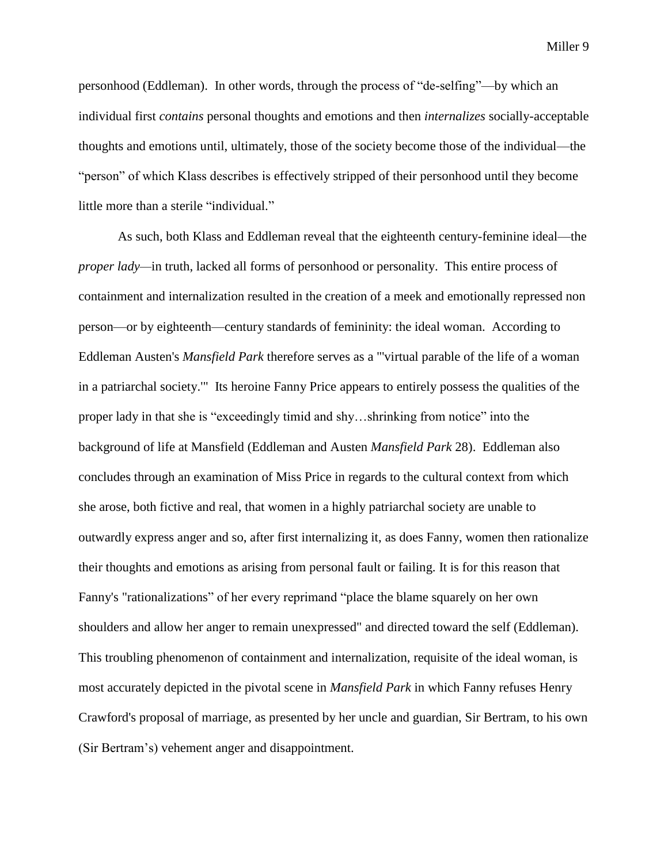personhood (Eddleman). In other words, through the process of "de-selfing"—by which an individual first *contains* personal thoughts and emotions and then *internalizes* socially-acceptable thoughts and emotions until, ultimately, those of the society become those of the individual—the "person" of which Klass describes is effectively stripped of their personhood until they become little more than a sterile "individual."

As such, both Klass and Eddleman reveal that the eighteenth century-feminine ideal—the *proper lady—in truth, lacked all forms of personhood or personality. This entire process of* containment and internalization resulted in the creation of a meek and emotionally repressed non person—or by eighteenth—century standards of femininity: the ideal woman. According to Eddleman Austen's *Mansfield Park* therefore serves as a "'virtual parable of the life of a woman in a patriarchal society.'" Its heroine Fanny Price appears to entirely possess the qualities of the proper lady in that she is "exceedingly timid and shy…shrinking from notice" into the background of life at Mansfield (Eddleman and Austen *Mansfield Park* 28). Eddleman also concludes through an examination of Miss Price in regards to the cultural context from which she arose, both fictive and real, that women in a highly patriarchal society are unable to outwardly express anger and so, after first internalizing it, as does Fanny, women then rationalize their thoughts and emotions as arising from personal fault or failing. It is for this reason that Fanny's "rationalizations" of her every reprimand "place the blame squarely on her own shoulders and allow her anger to remain unexpressed" and directed toward the self (Eddleman). This troubling phenomenon of containment and internalization, requisite of the ideal woman, is most accurately depicted in the pivotal scene in *Mansfield Park* in which Fanny refuses Henry Crawford's proposal of marriage, as presented by her uncle and guardian, Sir Bertram, to his own (Sir Bertram's) vehement anger and disappointment.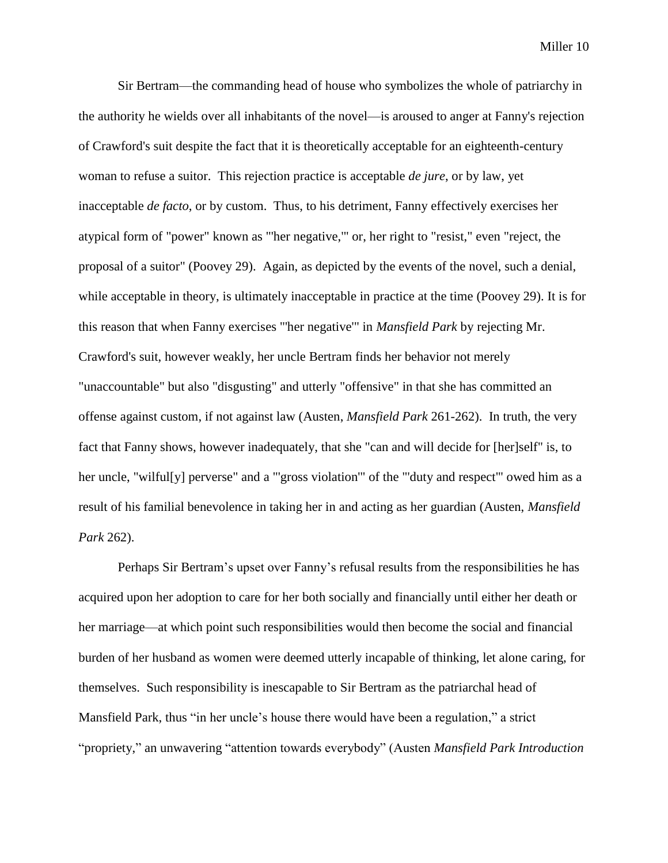Sir Bertram—the commanding head of house who symbolizes the whole of patriarchy in the authority he wields over all inhabitants of the novel—is aroused to anger at Fanny's rejection of Crawford's suit despite the fact that it is theoretically acceptable for an eighteenth-century woman to refuse a suitor. This rejection practice is acceptable *de jure*, or by law, yet inacceptable *de facto*, or by custom. Thus, to his detriment, Fanny effectively exercises her atypical form of "power" known as "'her negative,'" or, her right to "resist," even "reject, the proposal of a suitor" (Poovey 29). Again, as depicted by the events of the novel, such a denial, while acceptable in theory, is ultimately inacceptable in practice at the time (Poovey 29). It is for this reason that when Fanny exercises "'her negative'" in *Mansfield Park* by rejecting Mr. Crawford's suit, however weakly, her uncle Bertram finds her behavior not merely "unaccountable" but also "disgusting" and utterly "offensive" in that she has committed an offense against custom, if not against law (Austen, *Mansfield Park* 261-262). In truth, the very fact that Fanny shows, however inadequately, that she "can and will decide for [her]self" is, to her uncle, "wilful[y] perverse" and a "'gross violation'" of the "'duty and respect" owed him as a result of his familial benevolence in taking her in and acting as her guardian (Austen, *Mansfield Park* 262).

Perhaps Sir Bertram's upset over Fanny's refusal results from the responsibilities he has acquired upon her adoption to care for her both socially and financially until either her death or her marriage—at which point such responsibilities would then become the social and financial burden of her husband as women were deemed utterly incapable of thinking, let alone caring, for themselves. Such responsibility is inescapable to Sir Bertram as the patriarchal head of Mansfield Park, thus "in her uncle's house there would have been a regulation," a strict "propriety," an unwavering "attention towards everybody" (Austen *Mansfield Park Introduction*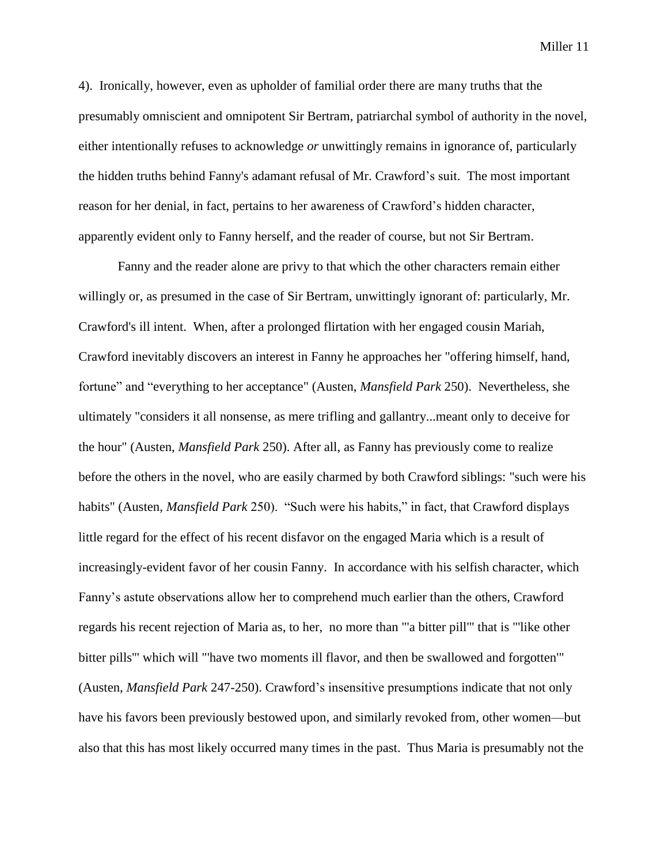4). Ironically, however, even as upholder of familial order there are many truths that the presumably omniscient and omnipotent Sir Bertram, patriarchal symbol of authority in the novel, either intentionally refuses to acknowledge *or* unwittingly remains in ignorance of, particularly the hidden truths behind Fanny's adamant refusal of Mr. Crawford's suit. The most important reason for her denial, in fact, pertains to her awareness of Crawford's hidden character, apparently evident only to Fanny herself, and the reader of course, but not Sir Bertram.

Fanny and the reader alone are privy to that which the other characters remain either willingly or, as presumed in the case of Sir Bertram, unwittingly ignorant of: particularly, Mr. Crawford's ill intent. When, after a prolonged flirtation with her engaged cousin Mariah, Crawford inevitably discovers an interest in Fanny he approaches her "offering himself, hand, fortune" and "everything to her acceptance" (Austen, *Mansfield Park* 250). Nevertheless, she ultimately "considers it all nonsense, as mere trifling and gallantry...meant only to deceive for the hour" (Austen, *Mansfield Park* 250). After all, as Fanny has previously come to realize before the others in the novel, who are easily charmed by both Crawford siblings: "such were his habits" (Austen, *Mansfield Park* 250). "Such were his habits," in fact, that Crawford displays little regard for the effect of his recent disfavor on the engaged Maria which is a result of increasingly-evident favor of her cousin Fanny. In accordance with his selfish character, which Fanny's astute observations allow her to comprehend much earlier than the others, Crawford regards his recent rejection of Maria as, to her, no more than "'a bitter pill'" that is "'like other bitter pills'" which will "'have two moments ill flavor, and then be swallowed and forgotten'" (Austen, *Mansfield Park* 247-250). Crawford's insensitive presumptions indicate that not only have his favors been previously bestowed upon, and similarly revoked from, other women—but also that this has most likely occurred many times in the past. Thus Maria is presumably not the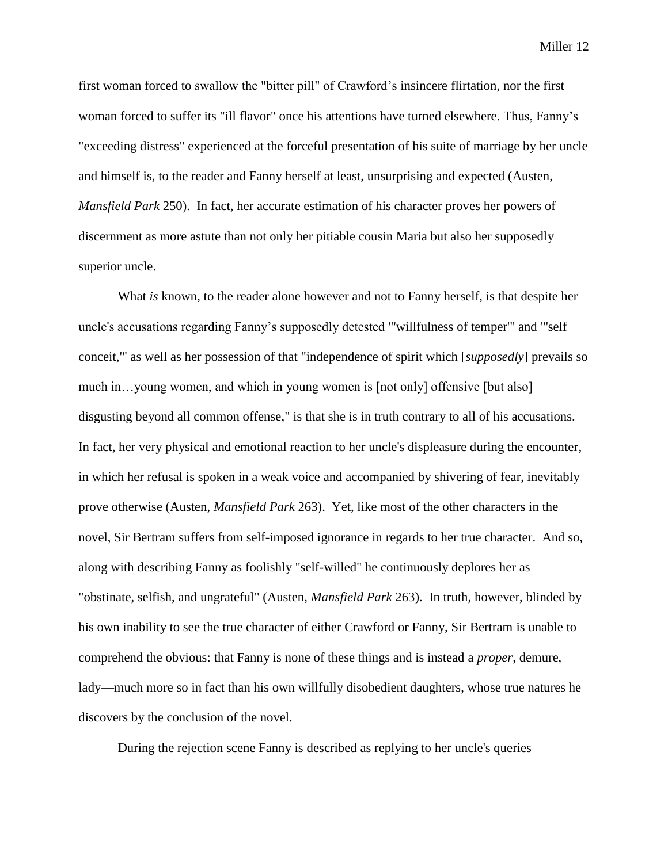first woman forced to swallow the "bitter pill" of Crawford's insincere flirtation, nor the first woman forced to suffer its "ill flavor" once his attentions have turned elsewhere. Thus, Fanny's "exceeding distress" experienced at the forceful presentation of his suite of marriage by her uncle and himself is, to the reader and Fanny herself at least, unsurprising and expected (Austen, *Mansfield Park* 250). In fact, her accurate estimation of his character proves her powers of discernment as more astute than not only her pitiable cousin Maria but also her supposedly superior uncle.

What *is* known, to the reader alone however and not to Fanny herself, is that despite her uncle's accusations regarding Fanny's supposedly detested "'willfulness of temper'" and "'self conceit,'" as well as her possession of that "independence of spirit which [*supposedly*] prevails so much in…young women, and which in young women is [not only] offensive [but also] disgusting beyond all common offense," is that she is in truth contrary to all of his accusations. In fact, her very physical and emotional reaction to her uncle's displeasure during the encounter, in which her refusal is spoken in a weak voice and accompanied by shivering of fear, inevitably prove otherwise (Austen, *Mansfield Park* 263). Yet, like most of the other characters in the novel, Sir Bertram suffers from self-imposed ignorance in regards to her true character. And so, along with describing Fanny as foolishly "self-willed" he continuously deplores her as "obstinate, selfish, and ungrateful" (Austen, *Mansfield Park* 263). In truth, however, blinded by his own inability to see the true character of either Crawford or Fanny, Sir Bertram is unable to comprehend the obvious: that Fanny is none of these things and is instead a *proper,* demure, lady—much more so in fact than his own willfully disobedient daughters, whose true natures he discovers by the conclusion of the novel.

During the rejection scene Fanny is described as replying to her uncle's queries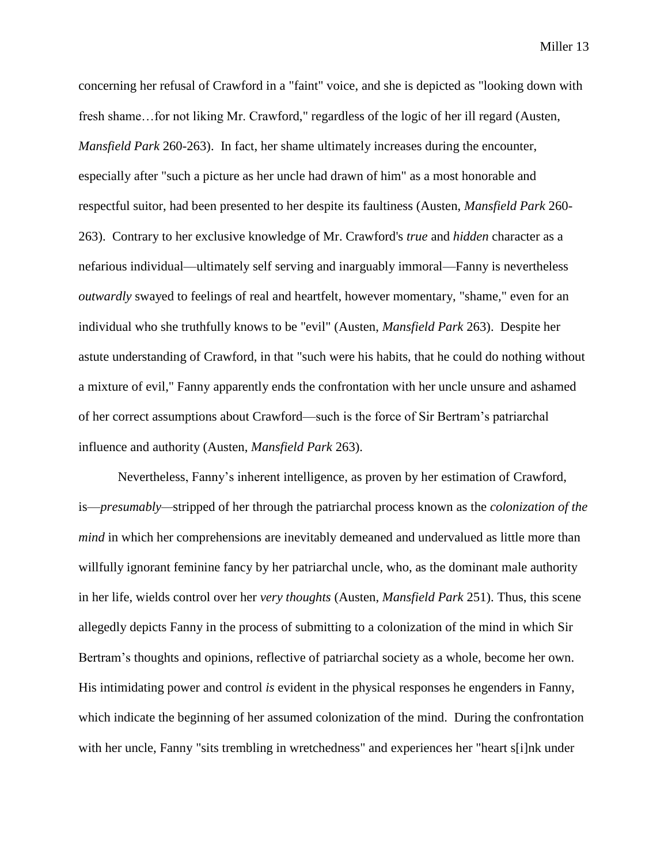concerning her refusal of Crawford in a "faint" voice, and she is depicted as "looking down with fresh shame…for not liking Mr. Crawford," regardless of the logic of her ill regard (Austen, *Mansfield Park* 260-263). In fact, her shame ultimately increases during the encounter, especially after "such a picture as her uncle had drawn of him" as a most honorable and respectful suitor, had been presented to her despite its faultiness (Austen, *Mansfield Park* 260- 263). Contrary to her exclusive knowledge of Mr. Crawford's *true* and *hidden* character as a nefarious individual—ultimately self serving and inarguably immoral—Fanny is nevertheless *outwardly* swayed to feelings of real and heartfelt, however momentary, "shame," even for an individual who she truthfully knows to be "evil" (Austen, *Mansfield Park* 263). Despite her astute understanding of Crawford, in that "such were his habits, that he could do nothing without a mixture of evil," Fanny apparently ends the confrontation with her uncle unsure and ashamed of her correct assumptions about Crawford—such is the force of Sir Bertram's patriarchal influence and authority (Austen, *Mansfield Park* 263).

Nevertheless, Fanny's inherent intelligence, as proven by her estimation of Crawford, is—*presumably—*stripped of her through the patriarchal process known as the *colonization of the mind* in which her comprehensions are inevitably demeaned and undervalued as little more than willfully ignorant feminine fancy by her patriarchal uncle, who, as the dominant male authority in her life, wields control over her *very thoughts* (Austen, *Mansfield Park* 251). Thus, this scene allegedly depicts Fanny in the process of submitting to a colonization of the mind in which Sir Bertram's thoughts and opinions, reflective of patriarchal society as a whole, become her own. His intimidating power and control *is* evident in the physical responses he engenders in Fanny, which indicate the beginning of her assumed colonization of the mind. During the confrontation with her uncle, Fanny "sits trembling in wretchedness" and experiences her "heart s[i]nk under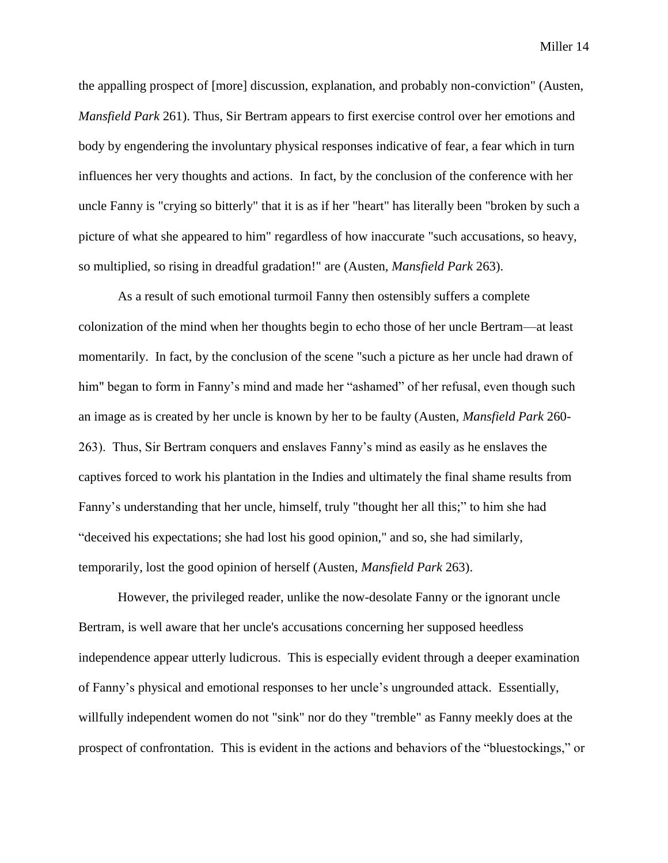the appalling prospect of [more] discussion, explanation, and probably non-conviction" (Austen, *Mansfield Park* 261). Thus, Sir Bertram appears to first exercise control over her emotions and body by engendering the involuntary physical responses indicative of fear, a fear which in turn influences her very thoughts and actions. In fact, by the conclusion of the conference with her uncle Fanny is "crying so bitterly" that it is as if her "heart" has literally been "broken by such a picture of what she appeared to him" regardless of how inaccurate "such accusations, so heavy, so multiplied, so rising in dreadful gradation!" are (Austen, *Mansfield Park* 263).

As a result of such emotional turmoil Fanny then ostensibly suffers a complete colonization of the mind when her thoughts begin to echo those of her uncle Bertram—at least momentarily. In fact, by the conclusion of the scene "such a picture as her uncle had drawn of him" began to form in Fanny's mind and made her "ashamed" of her refusal, even though such an image as is created by her uncle is known by her to be faulty (Austen, *Mansfield Park* 260- 263). Thus, Sir Bertram conquers and enslaves Fanny's mind as easily as he enslaves the captives forced to work his plantation in the Indies and ultimately the final shame results from Fanny's understanding that her uncle, himself, truly "thought her all this;" to him she had "deceived his expectations; she had lost his good opinion," and so, she had similarly, temporarily, lost the good opinion of herself (Austen, *Mansfield Park* 263).

However, the privileged reader, unlike the now-desolate Fanny or the ignorant uncle Bertram, is well aware that her uncle's accusations concerning her supposed heedless independence appear utterly ludicrous. This is especially evident through a deeper examination of Fanny's physical and emotional responses to her uncle's ungrounded attack. Essentially, willfully independent women do not "sink" nor do they "tremble" as Fanny meekly does at the prospect of confrontation. This is evident in the actions and behaviors of the "bluestockings," or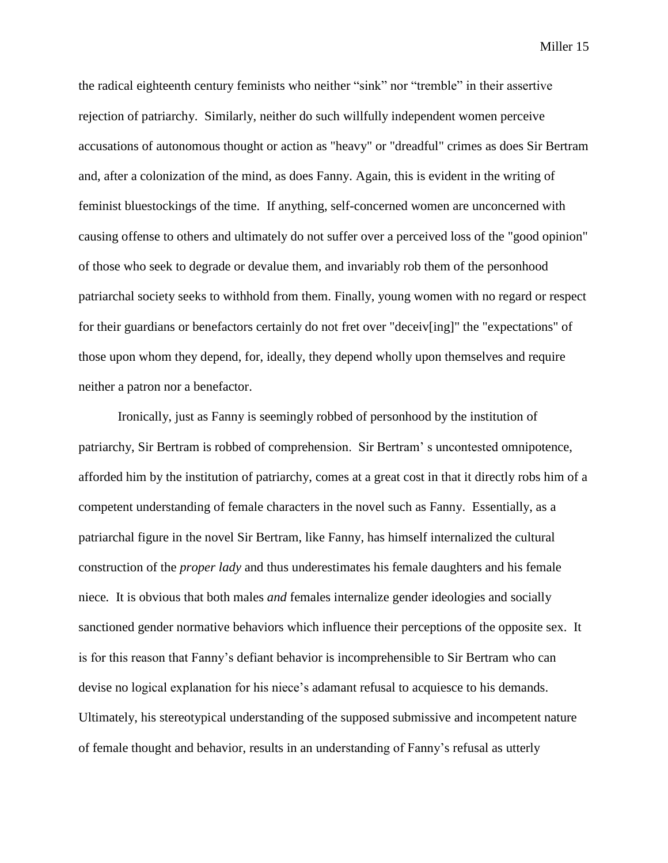the radical eighteenth century feminists who neither "sink" nor "tremble" in their assertive rejection of patriarchy. Similarly, neither do such willfully independent women perceive accusations of autonomous thought or action as "heavy" or "dreadful" crimes as does Sir Bertram and, after a colonization of the mind, as does Fanny. Again, this is evident in the writing of feminist bluestockings of the time. If anything, self-concerned women are unconcerned with causing offense to others and ultimately do not suffer over a perceived loss of the "good opinion" of those who seek to degrade or devalue them, and invariably rob them of the personhood patriarchal society seeks to withhold from them. Finally, young women with no regard or respect for their guardians or benefactors certainly do not fret over "deceiv[ing]" the "expectations" of those upon whom they depend, for, ideally, they depend wholly upon themselves and require neither a patron nor a benefactor.

Ironically, just as Fanny is seemingly robbed of personhood by the institution of patriarchy, Sir Bertram is robbed of comprehension. Sir Bertram' s uncontested omnipotence, afforded him by the institution of patriarchy, comes at a great cost in that it directly robs him of a competent understanding of female characters in the novel such as Fanny. Essentially, as a patriarchal figure in the novel Sir Bertram, like Fanny, has himself internalized the cultural construction of the *proper lady* and thus underestimates his female daughters and his female niece*.* It is obvious that both males *and* females internalize gender ideologies and socially sanctioned gender normative behaviors which influence their perceptions of the opposite sex. It is for this reason that Fanny's defiant behavior is incomprehensible to Sir Bertram who can devise no logical explanation for his niece's adamant refusal to acquiesce to his demands. Ultimately, his stereotypical understanding of the supposed submissive and incompetent nature of female thought and behavior, results in an understanding of Fanny's refusal as utterly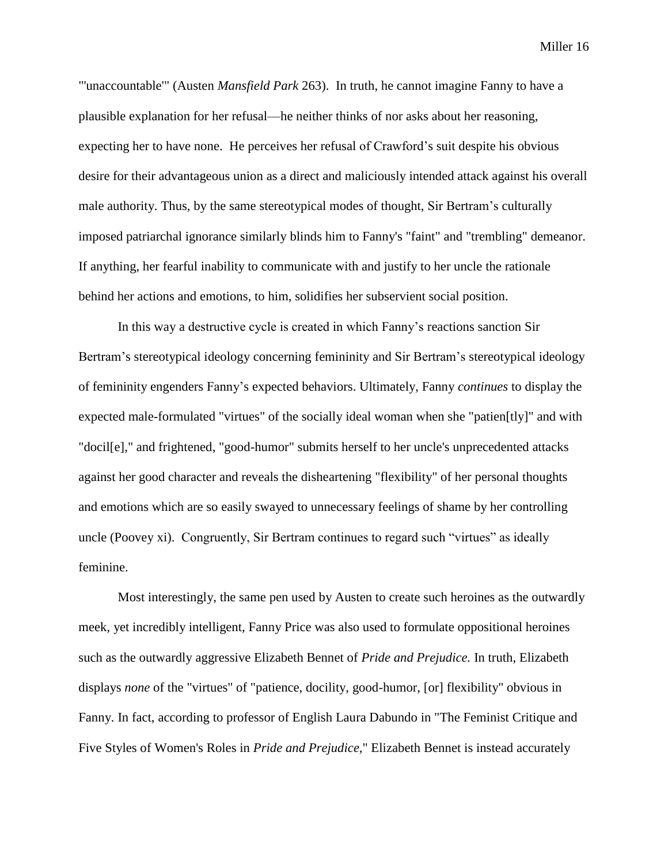"'unaccountable'" (Austen *Mansfield Park* 263). In truth, he cannot imagine Fanny to have a plausible explanation for her refusal—he neither thinks of nor asks about her reasoning, expecting her to have none. He perceives her refusal of Crawford's suit despite his obvious desire for their advantageous union as a direct and maliciously intended attack against his overall male authority. Thus, by the same stereotypical modes of thought, Sir Bertram's culturally imposed patriarchal ignorance similarly blinds him to Fanny's "faint" and "trembling" demeanor. If anything, her fearful inability to communicate with and justify to her uncle the rationale behind her actions and emotions, to him, solidifies her subservient social position.

In this way a destructive cycle is created in which Fanny's reactions sanction Sir Bertram's stereotypical ideology concerning femininity and Sir Bertram's stereotypical ideology of femininity engenders Fanny's expected behaviors. Ultimately, Fanny *continues* to display the expected male-formulated "virtues" of the socially ideal woman when she "patien[tly]" and with "docil[e]," and frightened, "good-humor" submits herself to her uncle's unprecedented attacks against her good character and reveals the disheartening "flexibility" of her personal thoughts and emotions which are so easily swayed to unnecessary feelings of shame by her controlling uncle (Poovey xi). Congruently, Sir Bertram continues to regard such "virtues" as ideally feminine.

Most interestingly, the same pen used by Austen to create such heroines as the outwardly meek, yet incredibly intelligent, Fanny Price was also used to formulate oppositional heroines such as the outwardly aggressive Elizabeth Bennet of *Pride and Prejudice.* In truth, Elizabeth displays *none* of the "virtues" of "patience, docility, good-humor, [or] flexibility" obvious in Fanny. In fact, according to professor of English Laura Dabundo in "The Feminist Critique and Five Styles of Women's Roles in *Pride and Prejudice,*" Elizabeth Bennet is instead accurately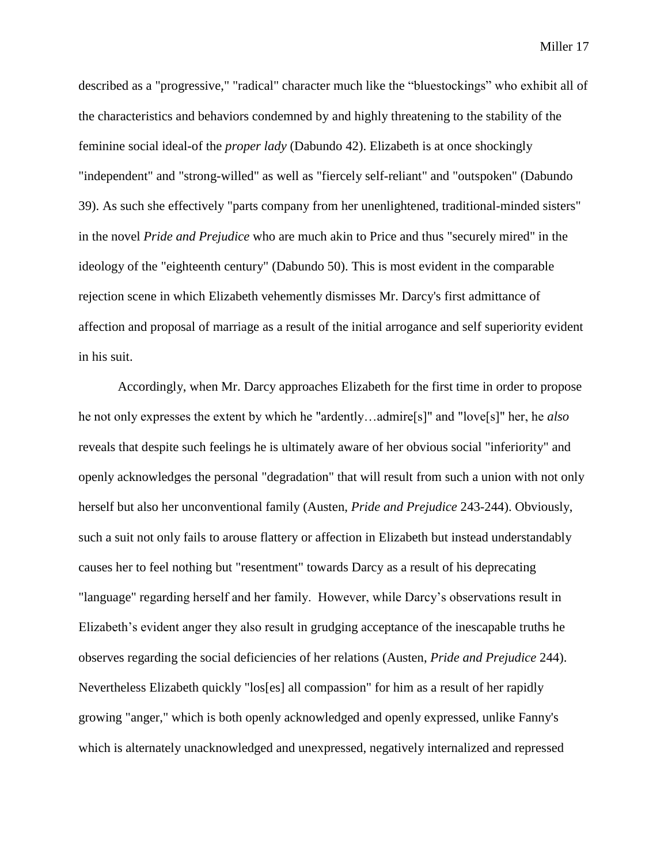described as a "progressive," "radical" character much like the "bluestockings" who exhibit all of the characteristics and behaviors condemned by and highly threatening to the stability of the feminine social ideal-of the *proper lady* (Dabundo 42). Elizabeth is at once shockingly "independent" and "strong-willed" as well as "fiercely self-reliant" and "outspoken" (Dabundo 39). As such she effectively "parts company from her unenlightened, traditional-minded sisters" in the novel *Pride and Prejudice* who are much akin to Price and thus "securely mired" in the ideology of the "eighteenth century" (Dabundo 50). This is most evident in the comparable rejection scene in which Elizabeth vehemently dismisses Mr. Darcy's first admittance of affection and proposal of marriage as a result of the initial arrogance and self superiority evident in his suit.

Accordingly, when Mr. Darcy approaches Elizabeth for the first time in order to propose he not only expresses the extent by which he "ardently…admire[s]" and "love[s]" her, he *also* reveals that despite such feelings he is ultimately aware of her obvious social "inferiority" and openly acknowledges the personal "degradation" that will result from such a union with not only herself but also her unconventional family (Austen, *Pride and Prejudice* 243-244). Obviously, such a suit not only fails to arouse flattery or affection in Elizabeth but instead understandably causes her to feel nothing but "resentment" towards Darcy as a result of his deprecating "language" regarding herself and her family. However, while Darcy's observations result in Elizabeth's evident anger they also result in grudging acceptance of the inescapable truths he observes regarding the social deficiencies of her relations (Austen, *Pride and Prejudice* 244). Nevertheless Elizabeth quickly "los[es] all compassion" for him as a result of her rapidly growing "anger," which is both openly acknowledged and openly expressed, unlike Fanny's which is alternately unacknowledged and unexpressed, negatively internalized and repressed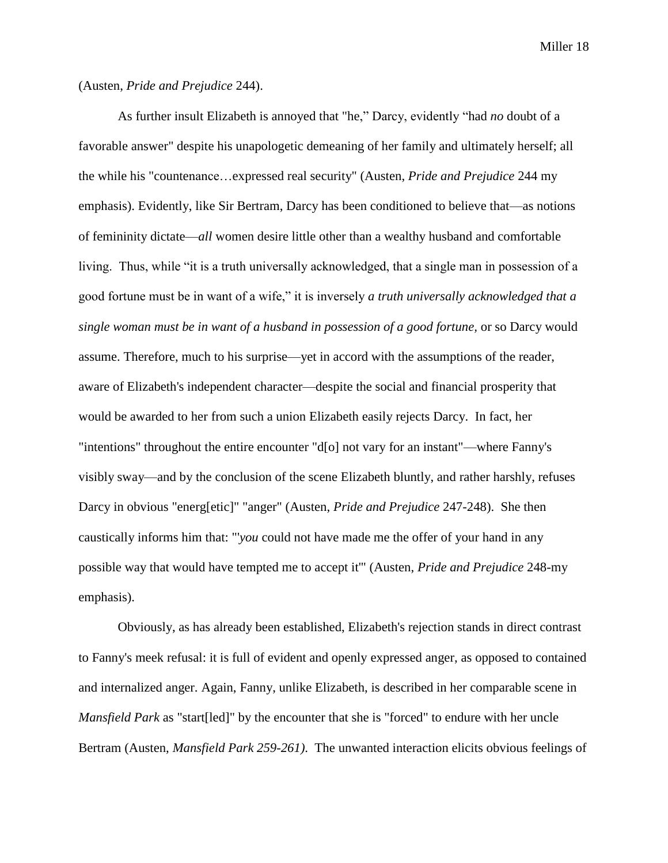## (Austen, *Pride and Prejudice* 244).

As further insult Elizabeth is annoyed that "he," Darcy, evidently "had *no* doubt of a favorable answer" despite his unapologetic demeaning of her family and ultimately herself; all the while his "countenance…expressed real security" (Austen, *Pride and Prejudice* 244 my emphasis). Evidently, like Sir Bertram, Darcy has been conditioned to believe that—as notions of femininity dictate—*all* women desire little other than a wealthy husband and comfortable living. Thus, while "it is a truth universally acknowledged, that a single man in possession of a good fortune must be in want of a wife," it is inversely *a truth universally acknowledged that a single woman must be in want of a husband in possession of a good fortune, or so Darcy would* assume. Therefore, much to his surprise—yet in accord with the assumptions of the reader, aware of Elizabeth's independent character—despite the social and financial prosperity that would be awarded to her from such a union Elizabeth easily rejects Darcy. In fact, her "intentions" throughout the entire encounter "d[o] not vary for an instant"—where Fanny's visibly sway—and by the conclusion of the scene Elizabeth bluntly, and rather harshly, refuses Darcy in obvious "energ[etic]" "anger" (Austen, *Pride and Prejudice* 247-248). She then caustically informs him that: "'*you* could not have made me the offer of your hand in any possible way that would have tempted me to accept it'" (Austen, *Pride and Prejudice* 248-my emphasis).

Obviously, as has already been established, Elizabeth's rejection stands in direct contrast to Fanny's meek refusal: it is full of evident and openly expressed anger, as opposed to contained and internalized anger. Again, Fanny, unlike Elizabeth, is described in her comparable scene in *Mansfield Park* as "start[led]" by the encounter that she is "forced" to endure with her uncle Bertram (Austen, *Mansfield Park 259-261)*. The unwanted interaction elicits obvious feelings of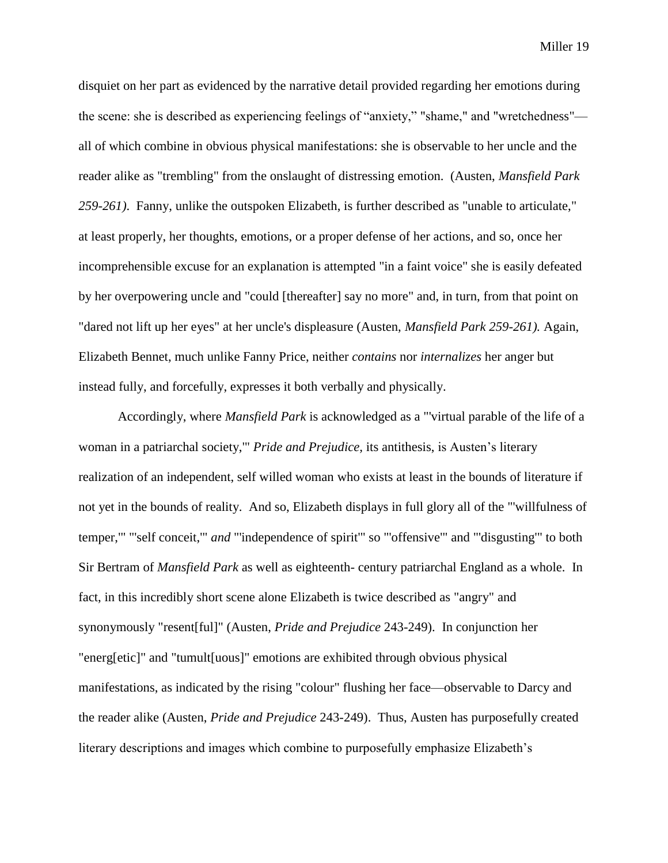disquiet on her part as evidenced by the narrative detail provided regarding her emotions during the scene: she is described as experiencing feelings of "anxiety," "shame," and "wretchedness" all of which combine in obvious physical manifestations: she is observable to her uncle and the reader alike as "trembling" from the onslaught of distressing emotion. (Austen, *Mansfield Park 259-261)*. Fanny, unlike the outspoken Elizabeth, is further described as "unable to articulate," at least properly, her thoughts, emotions, or a proper defense of her actions, and so, once her incomprehensible excuse for an explanation is attempted "in a faint voice" she is easily defeated by her overpowering uncle and "could [thereafter] say no more" and, in turn, from that point on "dared not lift up her eyes" at her uncle's displeasure (Austen, *Mansfield Park 259-261).* Again, Elizabeth Bennet, much unlike Fanny Price, neither *contains* nor *internalizes* her anger but instead fully, and forcefully, expresses it both verbally and physically.

Accordingly, where *Mansfield Park* is acknowledged as a "'virtual parable of the life of a woman in a patriarchal society,'" *Pride and Prejudice,* its antithesis, is Austen's literary realization of an independent, self willed woman who exists at least in the bounds of literature if not yet in the bounds of reality.And so, Elizabeth displays in full glory all of the "'willfulness of temper,'" "'self conceit,'" *and* "'independence of spirit'" so "'offensive'" and "'disgusting'" to both Sir Bertram of *Mansfield Park* as well as eighteenth- century patriarchal England as a whole. In fact, in this incredibly short scene alone Elizabeth is twice described as "angry" and synonymously "resent[ful]" (Austen, *Pride and Prejudice* 243-249). In conjunction her "energ[etic]" and "tumult[uous]" emotions are exhibited through obvious physical manifestations, as indicated by the rising "colour" flushing her face—observable to Darcy and the reader alike (Austen, *Pride and Prejudice* 243-249). Thus, Austen has purposefully created literary descriptions and images which combine to purposefully emphasize Elizabeth's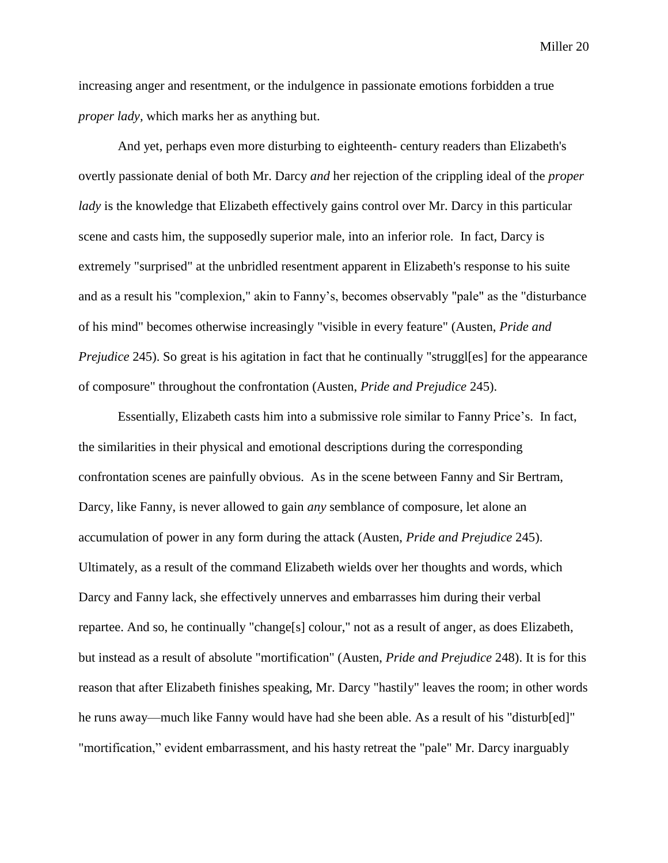increasing anger and resentment, or the indulgence in passionate emotions forbidden a true *proper lady,* which marks her as anything but.

And yet, perhaps even more disturbing to eighteenth- century readers than Elizabeth's overtly passionate denial of both Mr. Darcy *and* her rejection of the crippling ideal of the *proper lady* is the knowledge that Elizabeth effectively gains control over Mr. Darcy in this particular scene and casts him, the supposedly superior male, into an inferior role. In fact, Darcy is extremely "surprised" at the unbridled resentment apparent in Elizabeth's response to his suite and as a result his "complexion," akin to Fanny's, becomes observably "pale" as the "disturbance of his mind" becomes otherwise increasingly "visible in every feature" (Austen, *Pride and Prejudice* 245). So great is his agitation in fact that he continually "struggles for the appearance of composure" throughout the confrontation (Austen, *Pride and Prejudice* 245).

Essentially, Elizabeth casts him into a submissive role similar to Fanny Price's. In fact, the similarities in their physical and emotional descriptions during the corresponding confrontation scenes are painfully obvious. As in the scene between Fanny and Sir Bertram, Darcy, like Fanny, is never allowed to gain *any* semblance of composure, let alone an accumulation of power in any form during the attack (Austen, *Pride and Prejudice* 245). Ultimately, as a result of the command Elizabeth wields over her thoughts and words, which Darcy and Fanny lack, she effectively unnerves and embarrasses him during their verbal repartee. And so, he continually "change[s] colour," not as a result of anger, as does Elizabeth, but instead as a result of absolute "mortification" (Austen, *Pride and Prejudice* 248). It is for this reason that after Elizabeth finishes speaking, Mr. Darcy "hastily" leaves the room; in other words he runs away—much like Fanny would have had she been able. As a result of his "disturb[ed]" "mortification," evident embarrassment, and his hasty retreat the "pale" Mr. Darcy inarguably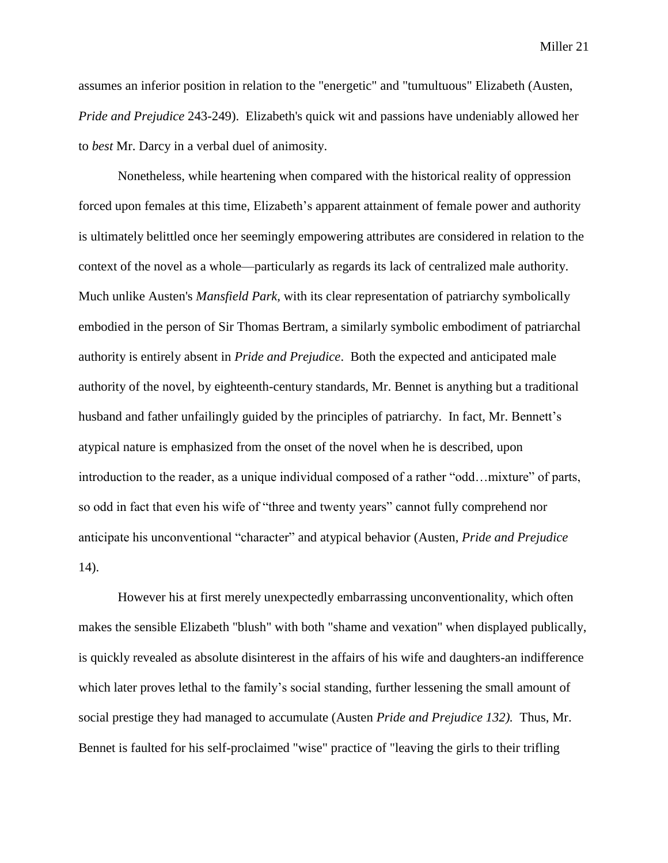assumes an inferior position in relation to the "energetic" and "tumultuous" Elizabeth (Austen, *Pride and Prejudice* 243-249). Elizabeth's quick wit and passions have undeniably allowed her to *best* Mr. Darcy in a verbal duel of animosity.

Nonetheless, while heartening when compared with the historical reality of oppression forced upon females at this time, Elizabeth's apparent attainment of female power and authority is ultimately belittled once her seemingly empowering attributes are considered in relation to the context of the novel as a whole—particularly as regards its lack of centralized male authority. Much unlike Austen's *Mansfield Park,* with its clear representation of patriarchy symbolically embodied in the person of Sir Thomas Bertram, a similarly symbolic embodiment of patriarchal authority is entirely absent in *Pride and Prejudice*. Both the expected and anticipated male authority of the novel, by eighteenth-century standards, Mr. Bennet is anything but a traditional husband and father unfailingly guided by the principles of patriarchy. In fact, Mr. Bennett's atypical nature is emphasized from the onset of the novel when he is described, upon introduction to the reader, as a unique individual composed of a rather "odd…mixture" of parts, so odd in fact that even his wife of "three and twenty years" cannot fully comprehend nor anticipate his unconventional "character" and atypical behavior (Austen, *Pride and Prejudice* 14).

However his at first merely unexpectedly embarrassing unconventionality, which often makes the sensible Elizabeth "blush" with both "shame and vexation" when displayed publically, is quickly revealed as absolute disinterest in the affairs of his wife and daughters-an indifference which later proves lethal to the family's social standing, further lessening the small amount of social prestige they had managed to accumulate (Austen *Pride and Prejudice 132).* Thus, Mr. Bennet is faulted for his self-proclaimed "wise" practice of "leaving the girls to their trifling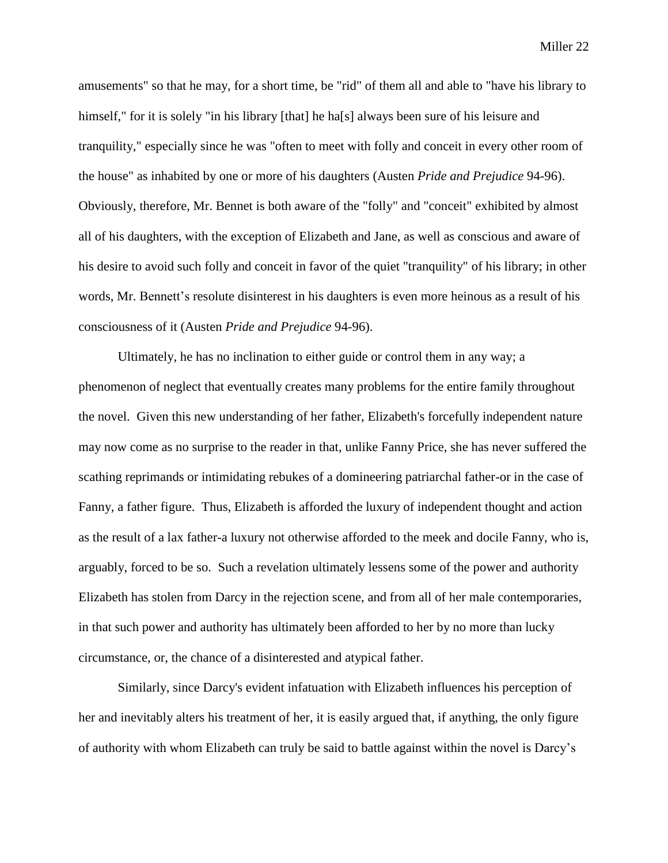amusements" so that he may, for a short time, be "rid" of them all and able to "have his library to himself," for it is solely "in his library [that] he has always been sure of his leisure and tranquility," especially since he was "often to meet with folly and conceit in every other room of the house" as inhabited by one or more of his daughters (Austen *Pride and Prejudice* 94-96). Obviously, therefore, Mr. Bennet is both aware of the "folly" and "conceit" exhibited by almost all of his daughters, with the exception of Elizabeth and Jane, as well as conscious and aware of his desire to avoid such folly and conceit in favor of the quiet "tranquility" of his library; in other words, Mr. Bennett's resolute disinterest in his daughters is even more heinous as a result of his consciousness of it (Austen *Pride and Prejudice* 94-96).

Ultimately, he has no inclination to either guide or control them in any way; a phenomenon of neglect that eventually creates many problems for the entire family throughout the novel. Given this new understanding of her father, Elizabeth's forcefully independent nature may now come as no surprise to the reader in that, unlike Fanny Price, she has never suffered the scathing reprimands or intimidating rebukes of a domineering patriarchal father-or in the case of Fanny, a father figure. Thus, Elizabeth is afforded the luxury of independent thought and action as the result of a lax father-a luxury not otherwise afforded to the meek and docile Fanny, who is, arguably, forced to be so. Such a revelation ultimately lessens some of the power and authority Elizabeth has stolen from Darcy in the rejection scene, and from all of her male contemporaries, in that such power and authority has ultimately been afforded to her by no more than lucky circumstance, or, the chance of a disinterested and atypical father.

Similarly, since Darcy's evident infatuation with Elizabeth influences his perception of her and inevitably alters his treatment of her, it is easily argued that, if anything, the only figure of authority with whom Elizabeth can truly be said to battle against within the novel is Darcy's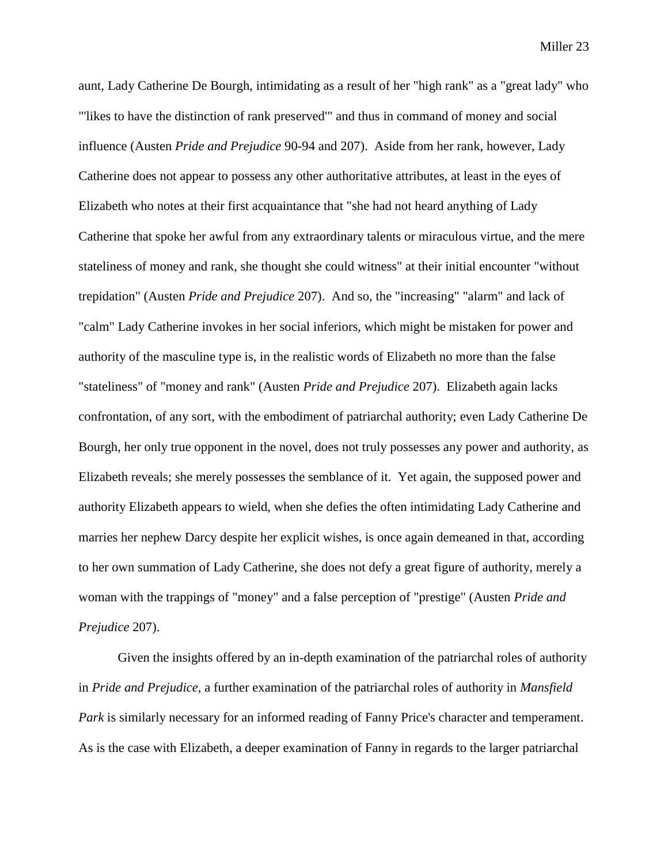aunt, Lady Catherine De Bourgh, intimidating as a result of her "high rank" as a "great lady" who "'likes to have the distinction of rank preserved'" and thus in command of money and social influence (Austen *Pride and Prejudice* 90-94 and 207). Aside from her rank, however, Lady Catherine does not appear to possess any other authoritative attributes, at least in the eyes of Elizabeth who notes at their first acquaintance that "she had not heard anything of Lady Catherine that spoke her awful from any extraordinary talents or miraculous virtue, and the mere stateliness of money and rank, she thought she could witness" at their initial encounter "without trepidation" (Austen *Pride and Prejudice* 207). And so, the "increasing" "alarm" and lack of "calm" Lady Catherine invokes in her social inferiors, which might be mistaken for power and authority of the masculine type is, in the realistic words of Elizabeth no more than the false "stateliness" of "money and rank" (Austen *Pride and Prejudice* 207). Elizabeth again lacks confrontation, of any sort, with the embodiment of patriarchal authority; even Lady Catherine De Bourgh, her only true opponent in the novel, does not truly possesses any power and authority, as Elizabeth reveals; she merely possesses the semblance of it. Yet again, the supposed power and authority Elizabeth appears to wield, when she defies the often intimidating Lady Catherine and marries her nephew Darcy despite her explicit wishes, is once again demeaned in that, according to her own summation of Lady Catherine, she does not defy a great figure of authority, merely a woman with the trappings of "money" and a false perception of "prestige" (Austen *Pride and Prejudice* 207).

Given the insights offered by an in-depth examination of the patriarchal roles of authority in *Pride and Prejudice,* a further examination of the patriarchal roles of authority in *Mansfield Park* is similarly necessary for an informed reading of Fanny Price's character and temperament. As is the case with Elizabeth, a deeper examination of Fanny in regards to the larger patriarchal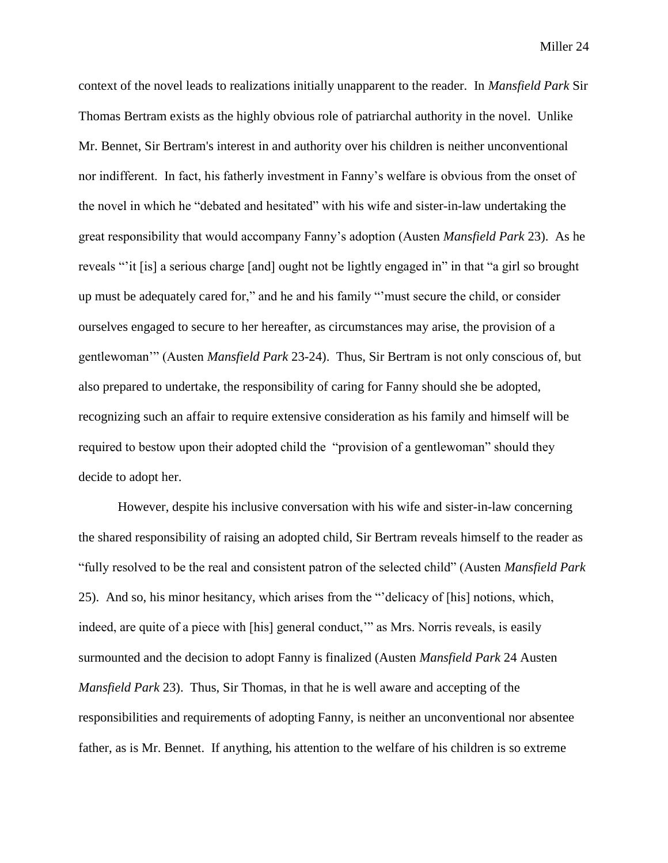context of the novel leads to realizations initially unapparent to the reader. In *Mansfield Park* Sir Thomas Bertram exists as the highly obvious role of patriarchal authority in the novel. Unlike Mr. Bennet, Sir Bertram's interest in and authority over his children is neither unconventional nor indifferent. In fact, his fatherly investment in Fanny's welfare is obvious from the onset of the novel in which he "debated and hesitated" with his wife and sister-in-law undertaking the great responsibility that would accompany Fanny's adoption (Austen *Mansfield Park* 23). As he reveals "'it [is] a serious charge [and] ought not be lightly engaged in" in that "a girl so brought up must be adequately cared for," and he and his family "'must secure the child, or consider ourselves engaged to secure to her hereafter, as circumstances may arise, the provision of a gentlewoman'" (Austen *Mansfield Park* 23-24). Thus, Sir Bertram is not only conscious of, but also prepared to undertake, the responsibility of caring for Fanny should she be adopted, recognizing such an affair to require extensive consideration as his family and himself will be required to bestow upon their adopted child the "provision of a gentlewoman" should they decide to adopt her.

However, despite his inclusive conversation with his wife and sister-in-law concerning the shared responsibility of raising an adopted child, Sir Bertram reveals himself to the reader as "fully resolved to be the real and consistent patron of the selected child" (Austen *Mansfield Park*  25). And so, his minor hesitancy, which arises from the "'delicacy of [his] notions, which, indeed, are quite of a piece with [his] general conduct,'" as Mrs. Norris reveals, is easily surmounted and the decision to adopt Fanny is finalized (Austen *Mansfield Park* 24 Austen *Mansfield Park* 23). Thus, Sir Thomas, in that he is well aware and accepting of the responsibilities and requirements of adopting Fanny, is neither an unconventional nor absentee father, as is Mr. Bennet. If anything, his attention to the welfare of his children is so extreme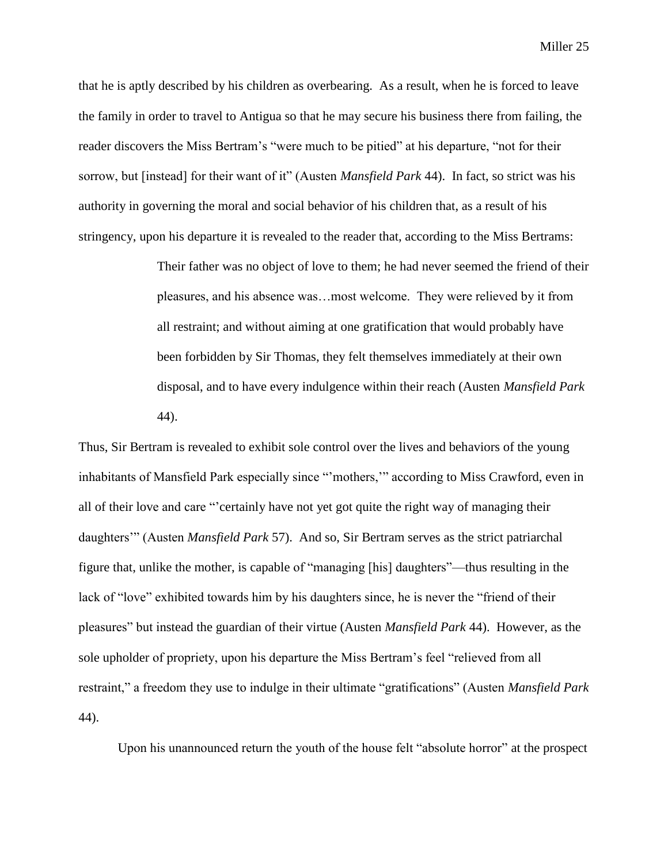that he is aptly described by his children as overbearing. As a result, when he is forced to leave the family in order to travel to Antigua so that he may secure his business there from failing, the reader discovers the Miss Bertram's "were much to be pitied" at his departure, "not for their sorrow, but [instead] for their want of it" (Austen *Mansfield Park* 44). In fact, so strict was his authority in governing the moral and social behavior of his children that, as a result of his stringency, upon his departure it is revealed to the reader that, according to the Miss Bertrams:

> Their father was no object of love to them; he had never seemed the friend of their pleasures, and his absence was…most welcome. They were relieved by it from all restraint; and without aiming at one gratification that would probably have been forbidden by Sir Thomas, they felt themselves immediately at their own disposal, and to have every indulgence within their reach (Austen *Mansfield Park*  44).

Thus, Sir Bertram is revealed to exhibit sole control over the lives and behaviors of the young inhabitants of Mansfield Park especially since "'mothers,'" according to Miss Crawford, even in all of their love and care "'certainly have not yet got quite the right way of managing their daughters'" (Austen *Mansfield Park* 57). And so, Sir Bertram serves as the strict patriarchal figure that, unlike the mother, is capable of "managing [his] daughters"—thus resulting in the lack of "love" exhibited towards him by his daughters since, he is never the "friend of their pleasures" but instead the guardian of their virtue (Austen *Mansfield Park* 44). However, as the sole upholder of propriety, upon his departure the Miss Bertram's feel "relieved from all restraint," a freedom they use to indulge in their ultimate "gratifications" (Austen *Mansfield Park*  44).

Upon his unannounced return the youth of the house felt "absolute horror" at the prospect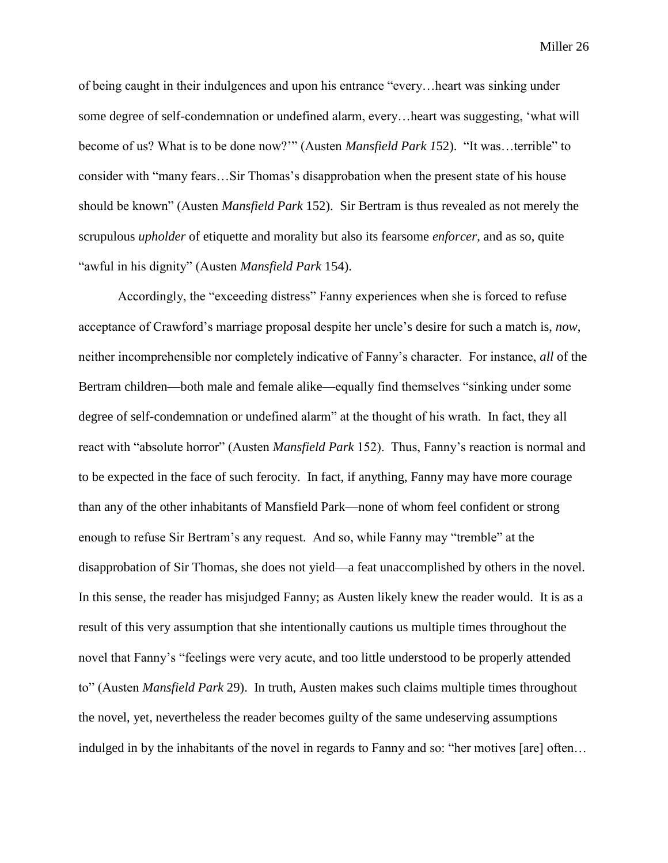of being caught in their indulgences and upon his entrance "every…heart was sinking under some degree of self-condemnation or undefined alarm, every…heart was suggesting, 'what will become of us? What is to be done now?'" (Austen *Mansfield Park 1*52). "It was…terrible" to consider with "many fears…Sir Thomas's disapprobation when the present state of his house should be known" (Austen *Mansfield Park* 152). Sir Bertram is thus revealed as not merely the scrupulous *upholder* of etiquette and morality but also its fearsome *enforcer*, and as so, quite "awful in his dignity" (Austen *Mansfield Park* 154).

Accordingly, the "exceeding distress" Fanny experiences when she is forced to refuse acceptance of Crawford's marriage proposal despite her uncle's desire for such a match is, *now*, neither incomprehensible nor completely indicative of Fanny's character. For instance, *all* of the Bertram children—both male and female alike—equally find themselves "sinking under some degree of self-condemnation or undefined alarm" at the thought of his wrath. In fact, they all react with "absolute horror" (Austen *Mansfield Park* 152). Thus, Fanny's reaction is normal and to be expected in the face of such ferocity. In fact, if anything, Fanny may have more courage than any of the other inhabitants of Mansfield Park—none of whom feel confident or strong enough to refuse Sir Bertram's any request. And so, while Fanny may "tremble" at the disapprobation of Sir Thomas, she does not yield—a feat unaccomplished by others in the novel. In this sense, the reader has misjudged Fanny; as Austen likely knew the reader would. It is as a result of this very assumption that she intentionally cautions us multiple times throughout the novel that Fanny's "feelings were very acute, and too little understood to be properly attended to" (Austen *Mansfield Park* 29). In truth, Austen makes such claims multiple times throughout the novel, yet, nevertheless the reader becomes guilty of the same undeserving assumptions indulged in by the inhabitants of the novel in regards to Fanny and so: "her motives [are] often…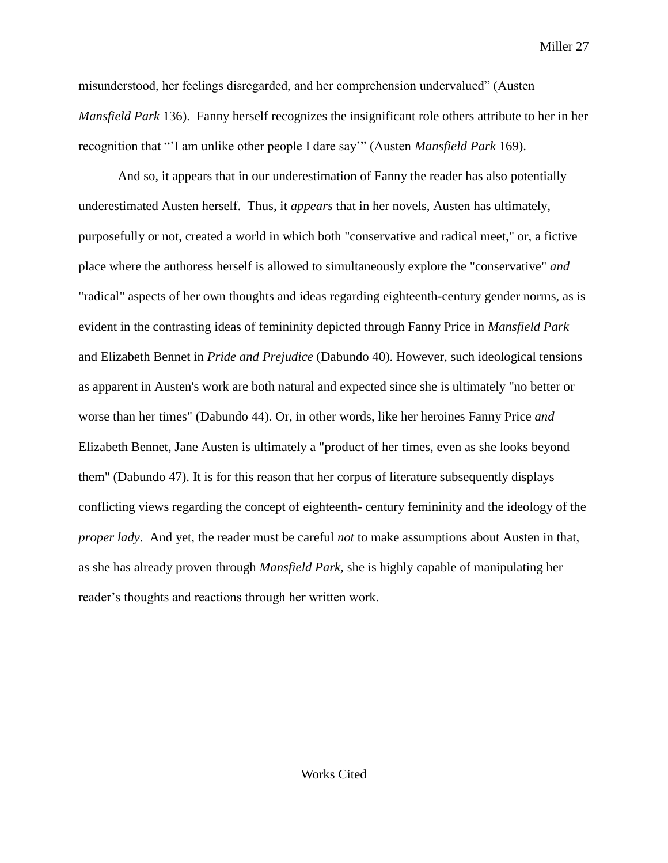misunderstood, her feelings disregarded, and her comprehension undervalued" (Austen *Mansfield Park* 136). Fanny herself recognizes the insignificant role others attribute to her in her recognition that "'I am unlike other people I dare say'" (Austen *Mansfield Park* 169).

And so, it appears that in our underestimation of Fanny the reader has also potentially underestimated Austen herself. Thus, it *appears* that in her novels, Austen has ultimately, purposefully or not, created a world in which both "conservative and radical meet," or, a fictive place where the authoress herself is allowed to simultaneously explore the "conservative" *and* "radical" aspects of her own thoughts and ideas regarding eighteenth-century gender norms, as is evident in the contrasting ideas of femininity depicted through Fanny Price in *Mansfield Park*  and Elizabeth Bennet in *Pride and Prejudice* (Dabundo 40). However, such ideological tensions as apparent in Austen's work are both natural and expected since she is ultimately "no better or worse than her times" (Dabundo 44). Or, in other words, like her heroines Fanny Price *and*  Elizabeth Bennet, Jane Austen is ultimately a "product of her times, even as she looks beyond them" (Dabundo 47). It is for this reason that her corpus of literature subsequently displays conflicting views regarding the concept of eighteenth- century femininity and the ideology of the *proper lady.* And yet, the reader must be careful *not* to make assumptions about Austen in that, as she has already proven through *Mansfield Park,* she is highly capable of manipulating her reader's thoughts and reactions through her written work.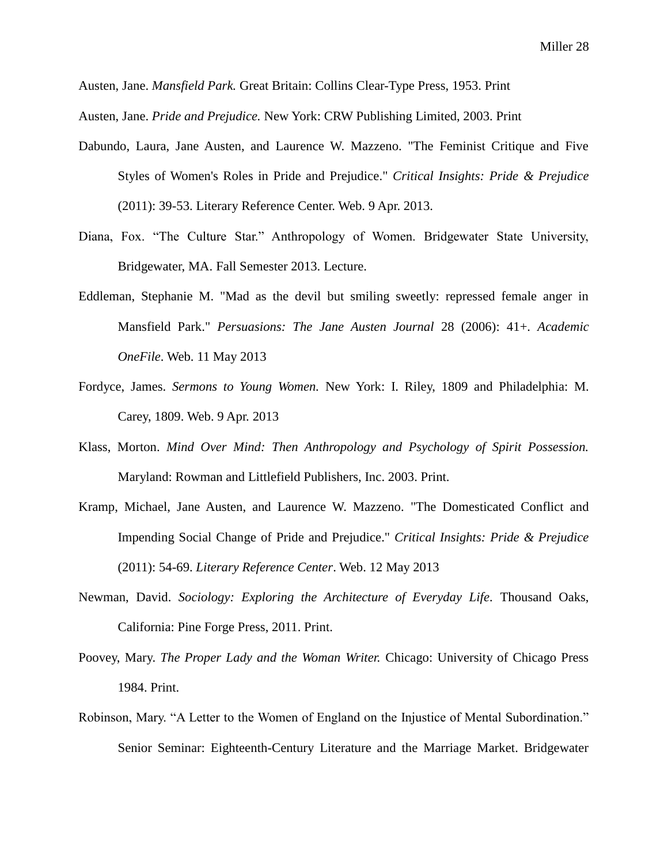Austen, Jane. *Mansfield Park.* Great Britain: Collins Clear-Type Press, 1953. Print

Austen, Jane. *Pride and Prejudice.* New York: CRW Publishing Limited, 2003. Print

- Dabundo, Laura, Jane Austen, and Laurence W. Mazzeno. "The Feminist Critique and Five Styles of Women's Roles in Pride and Prejudice." *Critical Insights: Pride & Prejudice* (2011): 39-53. Literary Reference Center. Web. 9 Apr. 2013.
- Diana, Fox. "The Culture Star." Anthropology of Women. Bridgewater State University, Bridgewater, MA. Fall Semester 2013. Lecture.
- Eddleman, Stephanie M. "Mad as the devil but smiling sweetly: repressed female anger in Mansfield Park." *Persuasions: The Jane Austen Journal* 28 (2006): 41+. *Academic OneFile*. Web. 11 May 2013
- Fordyce, James. *Sermons to Young Women.* New York: I. Riley, 1809 and Philadelphia: M. Carey, 1809. Web. 9 Apr. 2013
- Klass, Morton. *Mind Over Mind: Then Anthropology and Psychology of Spirit Possession.* Maryland: Rowman and Littlefield Publishers, Inc. 2003. Print.
- Kramp, Michael, Jane Austen, and Laurence W. Mazzeno. "The Domesticated Conflict and Impending Social Change of Pride and Prejudice." *Critical Insights: Pride & Prejudice* (2011): 54-69. *Literary Reference Center*. Web. 12 May 2013
- Newman, David. *Sociology: Exploring the Architecture of Everyday Life.* Thousand Oaks, California: Pine Forge Press, 2011. Print.
- Poovey, Mary. *The Proper Lady and the Woman Writer.* Chicago: University of Chicago Press 1984. Print.
- Robinson, Mary. "A Letter to the Women of England on the Injustice of Mental Subordination." Senior Seminar: Eighteenth-Century Literature and the Marriage Market. Bridgewater